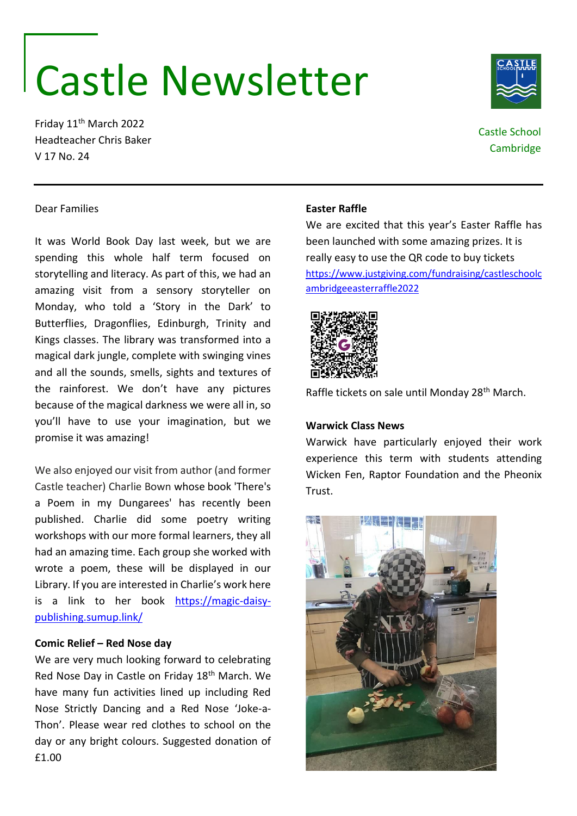# Castle Newsletter

Friday 11th March 2022 Headteacher Chris Baker V 17 No. 24

# Castle School

Cambridge

# Dear Families

It was World Book Day last week, but we are spending this whole half term focused on storytelling and literacy. As part of this, we had an amazing visit from a sensory storyteller on Monday, who told a 'Story in the Dark' to Butterflies, Dragonflies, Edinburgh, Trinity and Kings classes. The library was transformed into a magical dark jungle, complete with swinging vines and all the sounds, smells, sights and textures of the rainforest. We don't have any pictures because of the magical darkness we were all in, so you'll have to use your imagination, but we promise it was amazing!

We also enjoyed our visit from author (and former Castle teacher) Charlie Bown whose book 'There's a Poem in my Dungarees' has recently been published. Charlie did some poetry writing workshops with our more formal learners, they all had an amazing time. Each group she worked with wrote a poem, these will be displayed in our Library. If you are interested in Charlie's work here is a link to her book [https://magic-daisy](https://magic-daisy-publishing.sumup.link/)[publishing.sumup.link/](https://magic-daisy-publishing.sumup.link/)

#### **Comic Relief – Red Nose day**

We are very much looking forward to celebrating Red Nose Day in Castle on Friday 18th March. We have many fun activities lined up including Red Nose Strictly Dancing and a Red Nose 'Joke-a-Thon'. Please wear red clothes to school on the day or any bright colours. Suggested donation of £1.00

#### **Easter Raffle**

We are excited that this year's Easter Raffle has been launched with some amazing prizes. It is really easy to use the QR code to buy tickets [https://www.justgiving.com/fundraising/castleschoolc](https://www.justgiving.com/fundraising/castleschoolcambridgeeasterraffle2022) [ambridgeeasterraffle2022](https://www.justgiving.com/fundraising/castleschoolcambridgeeasterraffle2022)



Raffle tickets on sale until Monday 28<sup>th</sup> March.

#### **Warwick Class News**

Warwick have particularly enjoyed their work experience this term with students attending Wicken Fen, Raptor Foundation and the Pheonix Trust.